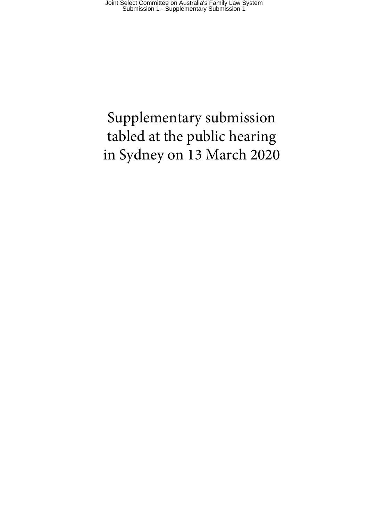# Supplementary submission tabled at the public hearing in Sydney on 13 March 2020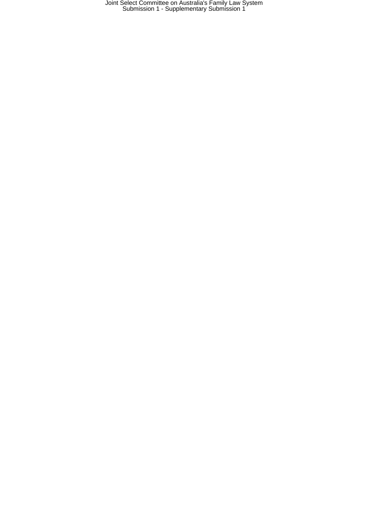Joint Select Committee on Australia's Family Law System Submission 1 - Supplementary Submission 1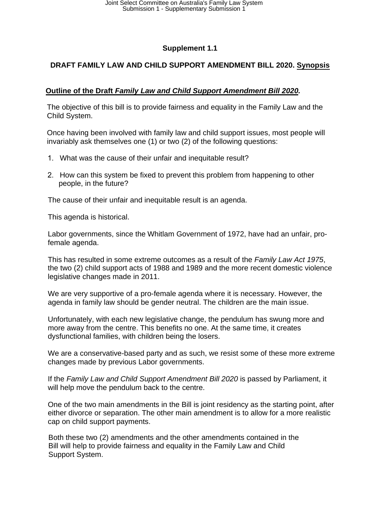## **Supplement 1.1**

#### **DRAFT FAMILY LAW AND CHILD SUPPORT AMENDMENT BILL 2020. Synopsis**

#### **Outline of the Draft Family Law and Child Support Amendment Bill 2020.**

The objective of this bill is to provide fairness and equality in the Family Law and the Child System.

Once having been involved with family law and child support issues, most people will invariably ask themselves one (1) or two (2) of the following questions:

- 1. What was the cause of their unfair and inequitable result?
- 2. How can this system be fixed to prevent this problem from happening to other people, in the future?

The cause of their unfair and inequitable result is an agenda.

This agenda is historical.

Labor governments, since the Whitlam Government of 1972, have had an unfair, profemale agenda.

This has resulted in some extreme outcomes as a result of the Family Law Act 1975, the two (2) child support acts of 1988 and 1989 and the more recent domestic violence legislative changes made in 2011.

We are very supportive of a pro-female agenda where it is necessary. However, the agenda in family law should be gender neutral. The children are the main issue.

Unfortunately, with each new legislative change, the pendulum has swung more and more away from the centre. This benefits no one. At the same time, it creates dysfunctional families, with children being the losers.

We are a conservative-based party and as such, we resist some of these more extreme changes made by previous Labor governments.

If the Family Law and Child Support Amendment Bill 2020 is passed by Parliament, it will help move the pendulum back to the centre.

One of the two main amendments in the Bill is joint residency as the starting point, after either divorce or separation. The other main amendment is to allow for a more realistic cap on child support payments.

Both these two (2) amendments and the other amendments contained in the Bill will help to provide fairness and equality in the Family Law and Child Support System.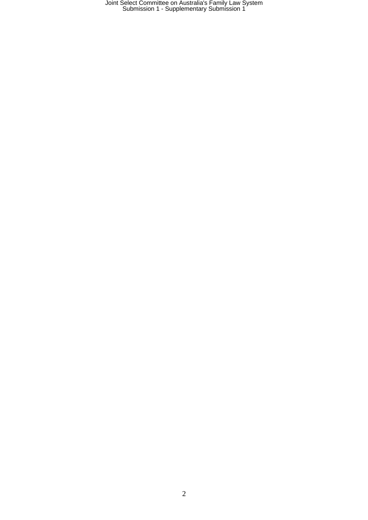Joint Select Committee on Australia's Family Law System Submission 1 - Supplementary Submission 1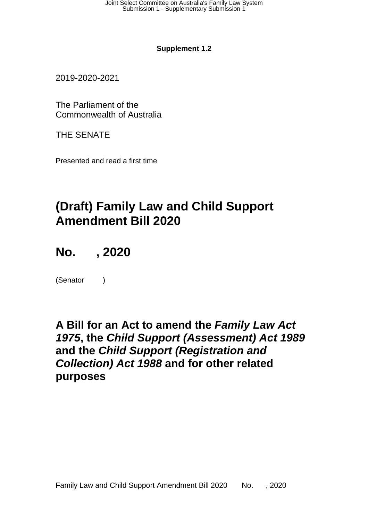## **Supplement 1.2**

2019-2020-2021

The Parliament of the Commonwealth of Australia

THE SENATE

Presented and read a first time

## **(Draft) Family Law and Child Support Amendment Bill 2020**

## **No. , 2020**

(Senator )

**A Bill for an Act to amend the Family Law Act 1975, the Child Support (Assessment) Act 1989 and the Child Support (Registration and Collection) Act 1988 and for other related purposes**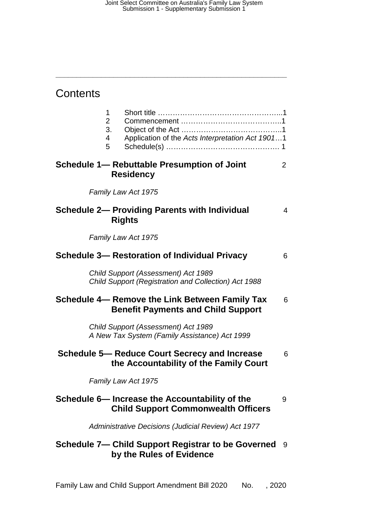**\_\_\_\_\_\_\_\_\_\_\_\_\_\_\_\_\_\_\_\_\_\_\_\_\_\_\_\_\_\_\_\_\_\_\_\_\_\_\_\_\_\_\_\_\_\_\_\_\_\_\_\_\_\_\_\_** 

| Contents |                                                                                                |                |
|----------|------------------------------------------------------------------------------------------------|----------------|
|          | 1<br>$\overline{2}$<br>3.<br>Application of the Acts Interpretation Act 19011<br>4<br>5        |                |
|          | Schedule 1— Rebuttable Presumption of Joint<br><b>Residency</b>                                | $\overline{2}$ |
|          | <b>Family Law Act 1975</b>                                                                     |                |
|          | <b>Schedule 2– Providing Parents with Individual</b><br><b>Rights</b>                          | 4              |
|          | Family Law Act 1975                                                                            |                |
|          | <b>Schedule 3– Restoration of Individual Privacy</b>                                           | 6              |
|          | Child Support (Assessment) Act 1989<br>Child Support (Registration and Collection) Act 1988    |                |
|          | Schedule 4— Remove the Link Between Family Tax<br><b>Benefit Payments and Child Support</b>    | 6              |
|          | Child Support (Assessment) Act 1989<br>A New Tax System (Family Assistance) Act 1999           |                |
|          | <b>Schedule 5— Reduce Court Secrecy and Increase</b><br>the Accountability of the Family Court | 6              |
|          | Family Law Act 1975                                                                            |                |
|          | Schedule 6— Increase the Accountability of the<br><b>Child Support Commonwealth Officers</b>   | 9              |
|          | Administrative Decisions (Judicial Review) Act 1977                                            |                |
|          | <b>Schedule 7— Child Support Registrar to be Governed</b> 9<br>by the Rules of Evidence        |                |
|          |                                                                                                |                |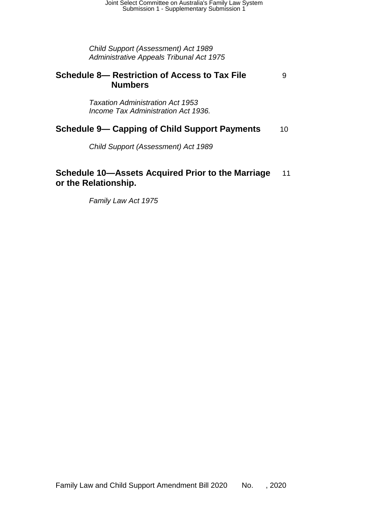Child Support (Assessment) Act 1989 Administrative Appeals Tribunal Act 1975

## **Schedule 8-** Restriction of Access to Tax File **9 Numbers**

Taxation Administration Act 1953 Income Tax Administration Act 1936.

## **Schedule 9- Capping of Child Support Payments** 10

Child Support (Assessment) Act 1989

## **Schedule 10—Assets Acquired Prior to the Marriage** 11 **or the Relationship.**

Family Law Act 1975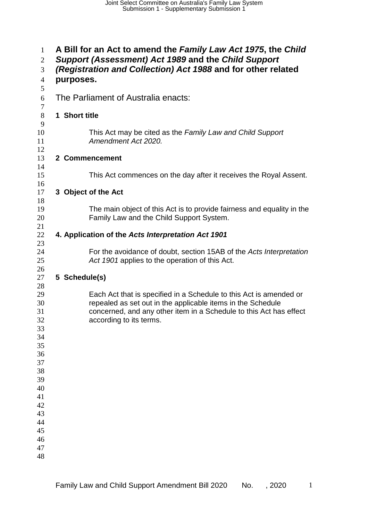## **A Bill for an Act to amend the Family Law Act 1975, the Child**

**Support (Assessment) Act 1989 and the Child Support** 

## **(Registration and Collection) Act 1988 and for other related**

- **purposes.**
- The Parliament of Australia enacts:

## **1 Short title**

This Act may be cited as the Family Law and Child Support 11 Amendment Act 2020.

## **2 Commencement**

This Act commences on the day after it receives the Royal Assent.

#### **3 Object of the Act**

The main object of this Act is to provide fairness and equality in the Family Law and the Child Support System.

## **4. Application of the Acts Interpretation Act 1901**

For the avoidance of doubt, section 15AB of the Acts Interpretation Act 1901 applies to the operation of this Act.

## **5 Schedule(s)**

Each Act that is specified in a Schedule to this Act is amended or repealed as set out in the applicable items in the Schedule concerned, and any other item in a Schedule to this Act has effect according to its terms. 

Family Law and Child Support Amendment Bill 2020 No. , 2020 1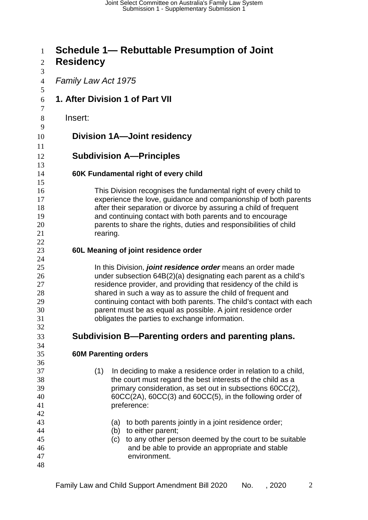| <b>Residency</b>                                                                                                                                                                                                                                                                                                                                       | Schedule 1— Rebuttable Presumption of Joint                                                                                                                                                                                                                                                                                                                                                                                                                       |  |  |  |  |  |
|--------------------------------------------------------------------------------------------------------------------------------------------------------------------------------------------------------------------------------------------------------------------------------------------------------------------------------------------------------|-------------------------------------------------------------------------------------------------------------------------------------------------------------------------------------------------------------------------------------------------------------------------------------------------------------------------------------------------------------------------------------------------------------------------------------------------------------------|--|--|--|--|--|
| Family Law Act 1975                                                                                                                                                                                                                                                                                                                                    |                                                                                                                                                                                                                                                                                                                                                                                                                                                                   |  |  |  |  |  |
| 1. After Division 1 of Part VII                                                                                                                                                                                                                                                                                                                        |                                                                                                                                                                                                                                                                                                                                                                                                                                                                   |  |  |  |  |  |
| Insert:                                                                                                                                                                                                                                                                                                                                                |                                                                                                                                                                                                                                                                                                                                                                                                                                                                   |  |  |  |  |  |
|                                                                                                                                                                                                                                                                                                                                                        | <b>Division 1A-Joint residency</b>                                                                                                                                                                                                                                                                                                                                                                                                                                |  |  |  |  |  |
|                                                                                                                                                                                                                                                                                                                                                        | <b>Subdivision A-Principles</b>                                                                                                                                                                                                                                                                                                                                                                                                                                   |  |  |  |  |  |
|                                                                                                                                                                                                                                                                                                                                                        | 60K Fundamental right of every child                                                                                                                                                                                                                                                                                                                                                                                                                              |  |  |  |  |  |
| This Division recognises the fundamental right of every child to<br>experience the love, guidance and companionship of both parents<br>after their separation or divorce by assuring a child of frequent<br>and continuing contact with both parents and to encourage<br>parents to share the rights, duties and responsibilities of child<br>rearing. |                                                                                                                                                                                                                                                                                                                                                                                                                                                                   |  |  |  |  |  |
|                                                                                                                                                                                                                                                                                                                                                        | 60L Meaning of joint residence order                                                                                                                                                                                                                                                                                                                                                                                                                              |  |  |  |  |  |
|                                                                                                                                                                                                                                                                                                                                                        | In this Division, <i>joint residence order</i> means an order made<br>under subsection 64B(2)(a) designating each parent as a child's<br>residence provider, and providing that residency of the child is<br>shared in such a way as to assure the child of frequent and<br>continuing contact with both parents. The child's contact with each<br>parent must be as equal as possible. A joint residence order<br>obligates the parties to exchange information. |  |  |  |  |  |
|                                                                                                                                                                                                                                                                                                                                                        | Subdivision B-Parenting orders and parenting plans.                                                                                                                                                                                                                                                                                                                                                                                                               |  |  |  |  |  |
|                                                                                                                                                                                                                                                                                                                                                        | <b>60M Parenting orders</b>                                                                                                                                                                                                                                                                                                                                                                                                                                       |  |  |  |  |  |
| (1)                                                                                                                                                                                                                                                                                                                                                    | In deciding to make a residence order in relation to a child,<br>the court must regard the best interests of the child as a<br>primary consideration, as set out in subsections 60CC(2),<br>60CC(2A), 60CC(3) and 60CC(5), in the following order of<br>preference:                                                                                                                                                                                               |  |  |  |  |  |
|                                                                                                                                                                                                                                                                                                                                                        | to both parents jointly in a joint residence order;<br>(a)<br>to either parent;<br>(b)<br>to any other person deemed by the court to be suitable<br>(c)<br>and be able to provide an appropriate and stable<br>environment.                                                                                                                                                                                                                                       |  |  |  |  |  |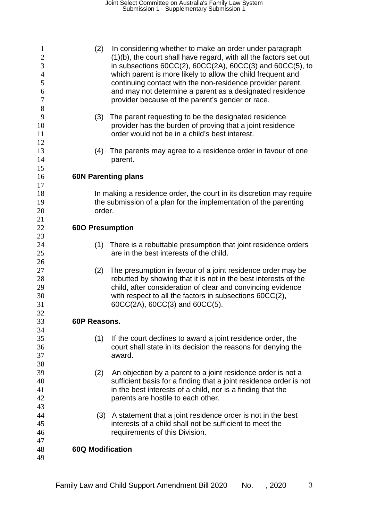| $\mathbf{1}$<br>$\mathbf{2}$<br>3<br>$\overline{4}$<br>5<br>6<br>$\boldsymbol{7}$<br>$8\,$ | (2)                        | In considering whether to make an order under paragraph<br>(1)(b), the court shall have regard, with all the factors set out<br>in subsections $60CC(2)$ , $60CC(2A)$ , $60CC(3)$ and $60CC(5)$ , to<br>which parent is more likely to allow the child frequent and<br>continuing contact with the non-residence provider parent,<br>and may not determine a parent as a designated residence<br>provider because of the parent's gender or race. |
|--------------------------------------------------------------------------------------------|----------------------------|---------------------------------------------------------------------------------------------------------------------------------------------------------------------------------------------------------------------------------------------------------------------------------------------------------------------------------------------------------------------------------------------------------------------------------------------------|
| 9<br>10<br>11<br>12                                                                        | (3)                        | The parent requesting to be the designated residence<br>provider has the burden of proving that a joint residence<br>order would not be in a child's best interest.                                                                                                                                                                                                                                                                               |
| 13<br>14<br>15                                                                             | (4)                        | The parents may agree to a residence order in favour of one<br>parent.                                                                                                                                                                                                                                                                                                                                                                            |
| 16                                                                                         | <b>60N Parenting plans</b> |                                                                                                                                                                                                                                                                                                                                                                                                                                                   |
| 17<br>18<br>19<br>20<br>21                                                                 | order.                     | In making a residence order, the court in its discretion may require<br>the submission of a plan for the implementation of the parenting                                                                                                                                                                                                                                                                                                          |
| 22                                                                                         | <b>600 Presumption</b>     |                                                                                                                                                                                                                                                                                                                                                                                                                                                   |
| 23<br>24<br>25                                                                             | (1)                        | There is a rebuttable presumption that joint residence orders<br>are in the best interests of the child.                                                                                                                                                                                                                                                                                                                                          |
| 26<br>27<br>28<br>29<br>30<br>31                                                           | (2)                        | The presumption in favour of a joint residence order may be<br>rebutted by showing that it is not in the best interests of the<br>child, after consideration of clear and convincing evidence<br>with respect to all the factors in subsections 60CC(2),<br>60CC(2A), 60CC(3) and 60CC(5).                                                                                                                                                        |
| 32<br>33                                                                                   | 60P Reasons.               |                                                                                                                                                                                                                                                                                                                                                                                                                                                   |
| 34<br>35<br>36<br>37<br>38                                                                 | (1)                        | If the court declines to award a joint residence order, the<br>court shall state in its decision the reasons for denying the<br>award.                                                                                                                                                                                                                                                                                                            |
| 39<br>40<br>41<br>42                                                                       | (2)                        | An objection by a parent to a joint residence order is not a<br>sufficient basis for a finding that a joint residence order is not<br>in the best interests of a child, nor is a finding that the<br>parents are hostile to each other.                                                                                                                                                                                                           |
| 43<br>44<br>45<br>46<br>47                                                                 | (3)                        | A statement that a joint residence order is not in the best<br>interests of a child shall not be sufficient to meet the<br>requirements of this Division.                                                                                                                                                                                                                                                                                         |
| 48<br>49                                                                                   | 60Q Modification           |                                                                                                                                                                                                                                                                                                                                                                                                                                                   |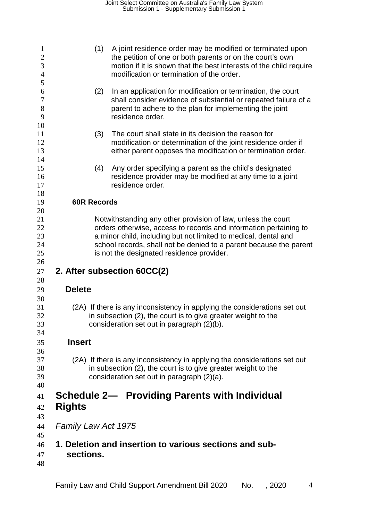| $\mathbf{1}$<br>$\mathbf{2}$<br>3<br>$\overline{4}$<br>5 |                            | (1)                | A joint residence order may be modified or terminated upon<br>the petition of one or both parents or on the court's own<br>motion if it is shown that the best interests of the child require<br>modification or termination of the order. |
|----------------------------------------------------------|----------------------------|--------------------|--------------------------------------------------------------------------------------------------------------------------------------------------------------------------------------------------------------------------------------------|
| 6<br>$\boldsymbol{7}$<br>8<br>9<br>10                    |                            | (2)                | In an application for modification or termination, the court<br>shall consider evidence of substantial or repeated failure of a<br>parent to adhere to the plan for implementing the joint<br>residence order.                             |
| 11<br>12<br>13<br>14                                     |                            | (3)                | The court shall state in its decision the reason for<br>modification or determination of the joint residence order if<br>either parent opposes the modification or termination order.                                                      |
| 15<br>16<br>17<br>18                                     |                            | (4)                | Any order specifying a parent as the child's designated<br>residence provider may be modified at any time to a joint<br>residence order.                                                                                                   |
| 19                                                       |                            | <b>60R Records</b> |                                                                                                                                                                                                                                            |
| 20                                                       |                            |                    | Notwithstanding any other provision of law, unless the court                                                                                                                                                                               |
| 21<br>22                                                 |                            |                    | orders otherwise, access to records and information pertaining to                                                                                                                                                                          |
| 23                                                       |                            |                    | a minor child, including but not limited to medical, dental and                                                                                                                                                                            |
| 24                                                       |                            |                    | school records, shall not be denied to a parent because the parent                                                                                                                                                                         |
| 25<br>26                                                 |                            |                    | is not the designated residence provider.                                                                                                                                                                                                  |
| 27                                                       |                            |                    | 2. After subsection 60CC(2)                                                                                                                                                                                                                |
| 28                                                       |                            |                    |                                                                                                                                                                                                                                            |
| 29                                                       | <b>Delete</b>              |                    |                                                                                                                                                                                                                                            |
| 30                                                       |                            |                    |                                                                                                                                                                                                                                            |
| 31<br>32                                                 |                            |                    | (2A) If there is any inconsistency in applying the considerations set out                                                                                                                                                                  |
| 33                                                       |                            |                    | in subsection (2), the court is to give greater weight to the<br>consideration set out in paragraph (2)(b).                                                                                                                                |
| 34                                                       |                            |                    |                                                                                                                                                                                                                                            |
| 35                                                       | <b>Insert</b>              |                    |                                                                                                                                                                                                                                            |
| 36                                                       |                            |                    |                                                                                                                                                                                                                                            |
| 37                                                       |                            |                    | (2A) If there is any inconsistency in applying the considerations set out                                                                                                                                                                  |
| 38                                                       |                            |                    | in subsection (2), the court is to give greater weight to the                                                                                                                                                                              |
| 39                                                       |                            |                    | consideration set out in paragraph (2)(a).                                                                                                                                                                                                 |
| 40                                                       |                            |                    |                                                                                                                                                                                                                                            |
| 41                                                       |                            |                    | Schedule 2- Providing Parents with Individual                                                                                                                                                                                              |
| 42<br>43                                                 | <b>Rights</b>              |                    |                                                                                                                                                                                                                                            |
| 44<br>45                                                 | <b>Family Law Act 1975</b> |                    |                                                                                                                                                                                                                                            |
| 46                                                       |                            |                    | 1. Deletion and insertion to various sections and sub-                                                                                                                                                                                     |
| 47                                                       | sections.                  |                    |                                                                                                                                                                                                                                            |
| 48                                                       |                            |                    |                                                                                                                                                                                                                                            |
|                                                          |                            |                    |                                                                                                                                                                                                                                            |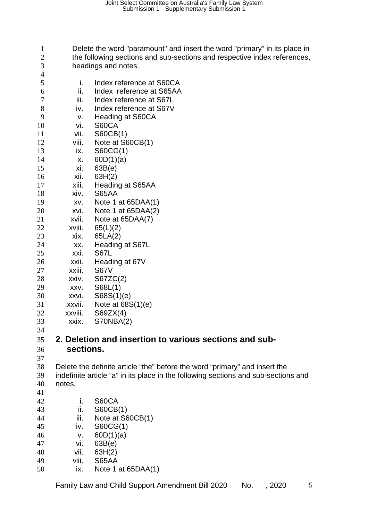1 Delete the word "paramount" and insert the word "primary" in its place in<br>
2 the following sections and sub-sections and respective index references, 2 the following sections and sub-sections and respective index references,<br>3 headings and notes. headings and notes. 

| 5      | i.        | Index reference at S60CA                                                           |
|--------|-----------|------------------------------------------------------------------------------------|
| 6      | ii.       | Index reference at S65AA                                                           |
| $\tau$ | iii.      | Index reference at S67L                                                            |
| 8      | iv.       | Index reference at S67V                                                            |
| 9      | v.        | Heading at S60CA                                                                   |
| 10     | vi.       | S60CA                                                                              |
| 11     | vii.      | S60CB(1)                                                                           |
| 12     | viii.     | Note at S60CB(1)                                                                   |
| 13     | ix.       | S60CG(1)                                                                           |
| 14     | Х.        | 60D(1)(a)                                                                          |
| 15     | xi.       | 63B(e)                                                                             |
| 16     | xii.      | 63H(2)                                                                             |
| 17     | xiii.     | Heading at S65AA                                                                   |
| 18     | xiv.      | S65AA                                                                              |
| 19     | XV.       | Note 1 at $65DAA(1)$                                                               |
| 20     | xvi.      | Note 1 at 65DAA(2)                                                                 |
| 21     | xvii.     | Note at 65DAA(7)                                                                   |
| 22     | xviii.    | 65(L)(2)                                                                           |
| 23     | xix.      | 65LA(2)                                                                            |
| 24     | XX.       | Heading at S67L                                                                    |
| 25     | xxi.      | S67L                                                                               |
| 26     | xxii.     | Heading at 67V                                                                     |
| 27     | xxiii.    | <b>S67V</b>                                                                        |
| 28     | xxiv.     | S67ZC(2)                                                                           |
| 29     | XXV.      | S68L(1)                                                                            |
| 30     | xxvi.     | S68S(1)(e)                                                                         |
| 31     | xxvii.    | Note at $68S(1)(e)$                                                                |
| 32     | xxviii.   | S69ZX(4)                                                                           |
| 33     | xxix.     | S70NBA(2)                                                                          |
| 34     |           |                                                                                    |
| 35     |           | 2. Deletion and insertion to various sections and sub-                             |
| 36     | sections. |                                                                                    |
| 37     |           |                                                                                    |
| 38     |           | Delete the definite article "the" before the word "primary" and insert the         |
| 39     |           | indefinite article "a" in its place in the following sections and sub-sections and |
| 40     | notes.    |                                                                                    |
| 41     |           |                                                                                    |
| 42     | i.        | S60CA                                                                              |
| 43     | ii.       | S60CB(1)                                                                           |
| 44     | iii.      | Note at S60CB(1)                                                                   |
| 45     | iv.       | S60CG(1)                                                                           |
| 46     | V.        | 60D(1)(a)                                                                          |
| 47     | vi.       | 63B(e)                                                                             |
| 48     | vii.      | 63H(2)                                                                             |
| 49     | viii.     | S65AA                                                                              |
| 50     | ix.       | Note 1 at 65DAA(1)                                                                 |

Family Law and Child Support Amendment Bill 2020 No. , 2020 5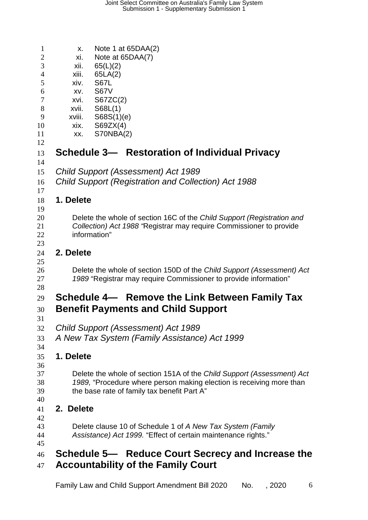x. Note 1 at 65DAA(2) xi. Note at 65DAA(7) xii. 65(L)(2) xiii. 65LA(2) xiv. S67L xv. S67V xvi. S67ZC(2) xvii. S68L(1) xviii. S68S(1)(e) xix. S69ZX(4) xx. S70NBA(2) **Schedule 3— Restoration of Individual Privacy**  Child Support (Assessment) Act 1989 Child Support (Registration and Collection) Act 1988 **1. Delete**  20 Delete the whole of section 16C of the Child Support (Registration and Collection) Act 1988 "Registrar may require Commissioner to provide information" **2. Delete**  Delete the whole of section 150D of the Child Support (Assessment) Act 1989 "Registrar may require Commissioner to provide information" **Schedule 4— Remove the Link Between Family Tax Benefit Payments and Child Support**  Child Support (Assessment) Act 1989 A New Tax System (Family Assistance) Act 1999 **1. Delete**  Delete the whole of section 151A of the Child Support (Assessment) Act 1989, "Procedure where person making election is receiving more than the base rate of family tax benefit Part A" **2. Delete**  Delete clause 10 of Schedule 1 of A New Tax System (Family Assistance) Act 1999. "Effect of certain maintenance rights." **Schedule 5— Reduce Court Secrecy and Increase the Accountability of the Family Court** 

Family Law and Child Support Amendment Bill 2020 No. , 2020 6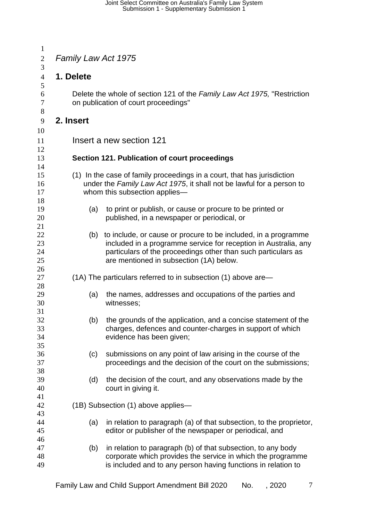| $\mathbf{1}$<br>$\sqrt{2}$ | <b>Family Law Act 1975</b>                                                                                       |                                                                                                                                                                                                                                               |  |  |  |  |  |
|----------------------------|------------------------------------------------------------------------------------------------------------------|-----------------------------------------------------------------------------------------------------------------------------------------------------------------------------------------------------------------------------------------------|--|--|--|--|--|
| 3                          |                                                                                                                  |                                                                                                                                                                                                                                               |  |  |  |  |  |
| $\overline{4}$<br>5        | 1. Delete                                                                                                        |                                                                                                                                                                                                                                               |  |  |  |  |  |
| 6<br>$\boldsymbol{7}$<br>8 | Delete the whole of section 121 of the Family Law Act 1975, "Restriction<br>on publication of court proceedings" |                                                                                                                                                                                                                                               |  |  |  |  |  |
| 9<br>10                    | 2. Insert                                                                                                        |                                                                                                                                                                                                                                               |  |  |  |  |  |
| 11<br>12                   |                                                                                                                  | Insert a new section 121                                                                                                                                                                                                                      |  |  |  |  |  |
| 13<br>14                   |                                                                                                                  | Section 121. Publication of court proceedings                                                                                                                                                                                                 |  |  |  |  |  |
| 15<br>16<br>17             |                                                                                                                  | (1) In the case of family proceedings in a court, that has jurisdiction<br>under the Family Law Act 1975, it shall not be lawful for a person to<br>whom this subsection applies-                                                             |  |  |  |  |  |
| 18<br>19<br>20<br>21       | (a)                                                                                                              | to print or publish, or cause or procure to be printed or<br>published, in a newspaper or periodical, or                                                                                                                                      |  |  |  |  |  |
| 22<br>23<br>24<br>25<br>26 | (b)                                                                                                              | to include, or cause or procure to be included, in a programme<br>included in a programme service for reception in Australia, any<br>particulars of the proceedings other than such particulars as<br>are mentioned in subsection (1A) below. |  |  |  |  |  |
| 27<br>28                   |                                                                                                                  | $(1A)$ The particulars referred to in subsection $(1)$ above are-                                                                                                                                                                             |  |  |  |  |  |
| 29<br>30<br>31             | (a)                                                                                                              | the names, addresses and occupations of the parties and<br>witnesses;                                                                                                                                                                         |  |  |  |  |  |
| 32<br>33<br>34<br>35       | (b)                                                                                                              | the grounds of the application, and a concise statement of the<br>charges, defences and counter-charges in support of which<br>evidence has been given;                                                                                       |  |  |  |  |  |
| 36<br>37<br>38             | (c)                                                                                                              | submissions on any point of law arising in the course of the<br>proceedings and the decision of the court on the submissions;                                                                                                                 |  |  |  |  |  |
| 39<br>40<br>41             | (d)                                                                                                              | the decision of the court, and any observations made by the<br>court in giving it.                                                                                                                                                            |  |  |  |  |  |
| 42<br>43                   |                                                                                                                  | (1B) Subsection (1) above applies—                                                                                                                                                                                                            |  |  |  |  |  |
| 44<br>45<br>46             | (a)                                                                                                              | in relation to paragraph (a) of that subsection, to the proprietor,<br>editor or publisher of the newspaper or periodical, and                                                                                                                |  |  |  |  |  |
| 47<br>48<br>49             | (b)                                                                                                              | in relation to paragraph (b) of that subsection, to any body<br>corporate which provides the service in which the programme<br>is included and to any person having functions in relation to                                                  |  |  |  |  |  |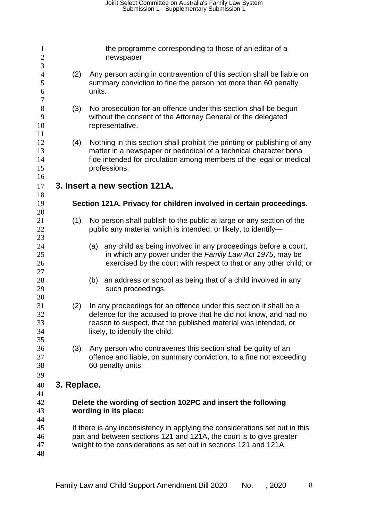| $\mathbf{1}$<br>$\overline{c}$ |             | the programme corresponding to those of an editor of a<br>newspaper.                                                                     |
|--------------------------------|-------------|------------------------------------------------------------------------------------------------------------------------------------------|
| 3                              |             |                                                                                                                                          |
| $\overline{4}$<br>5            | (2)         | Any person acting in contravention of this section shall be liable on<br>summary conviction to fine the person not more than 60 penalty  |
| 6                              |             | units.                                                                                                                                   |
| $\boldsymbol{7}$               |             |                                                                                                                                          |
| 8                              | (3)         | No prosecution for an offence under this section shall be begun                                                                          |
| 9                              |             | without the consent of the Attorney General or the delegated                                                                             |
| 10                             |             | representative.                                                                                                                          |
| 11                             |             |                                                                                                                                          |
| 12<br>13                       | (4)         | Nothing in this section shall prohibit the printing or publishing of any                                                                 |
| 14                             |             | matter in a newspaper or periodical of a technical character bona<br>fide intended for circulation among members of the legal or medical |
| 15                             |             | professions.                                                                                                                             |
| 16                             |             |                                                                                                                                          |
| 17                             |             | 3. Insert a new section 121A.                                                                                                            |
| 18                             |             |                                                                                                                                          |
| 19                             |             | Section 121A. Privacy for children involved in certain proceedings.                                                                      |
| 20                             |             |                                                                                                                                          |
| 21                             | (1)         | No person shall publish to the public at large or any section of the                                                                     |
| 22<br>23                       |             | public any material which is intended, or likely, to identify-                                                                           |
| 24                             |             | any child as being involved in any proceedings before a court,<br>(a)                                                                    |
| 25                             |             | in which any power under the Family Law Act 1975, may be                                                                                 |
| 26                             |             | exercised by the court with respect to that or any other child; or                                                                       |
| 27                             |             |                                                                                                                                          |
| 28                             |             | an address or school as being that of a child involved in any<br>(b)                                                                     |
| 29                             |             | such proceedings.                                                                                                                        |
| 30<br>31                       |             | In any proceedings for an offence under this section it shall be a                                                                       |
| 32                             | (2)         | defence for the accused to prove that he did not know, and had no                                                                        |
| 33                             |             | reason to suspect, that the published material was intended, or                                                                          |
| 34                             |             | likely, to identify the child.                                                                                                           |
| 35                             |             |                                                                                                                                          |
| 36                             | (3)         | Any person who contravenes this section shall be guilty of an                                                                            |
| 37                             |             | offence and liable, on summary conviction, to a fine not exceeding                                                                       |
| 38                             |             | 60 penalty units.                                                                                                                        |
| 39                             |             |                                                                                                                                          |
| 40                             | 3. Replace. |                                                                                                                                          |
| 41<br>42                       |             |                                                                                                                                          |
| 43                             |             | Delete the wording of section 102PC and insert the following<br>wording in its place:                                                    |
| 44                             |             |                                                                                                                                          |
| 45                             |             | If there is any inconsistency in applying the considerations set out in this                                                             |
| 46                             |             | part and between sections 121 and 121A, the court is to give greater                                                                     |
| 47                             |             | weight to the considerations as set out in sections 121 and 121A.                                                                        |
| 48                             |             |                                                                                                                                          |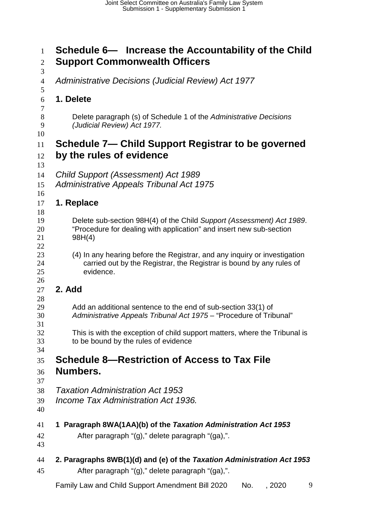| Schedule 6- Increase the Accountability of the Child<br><b>Support Commonwealth Officers</b>                                                                   |
|----------------------------------------------------------------------------------------------------------------------------------------------------------------|
| <b>Administrative Decisions (Judicial Review) Act 1977</b>                                                                                                     |
| 1. Delete                                                                                                                                                      |
| Delete paragraph (s) of Schedule 1 of the Administrative Decisions<br>(Judicial Review) Act 1977.                                                              |
| Schedule 7— Child Support Registrar to be governed<br>by the rules of evidence                                                                                 |
| Child Support (Assessment) Act 1989<br><b>Administrative Appeals Tribunal Act 1975</b>                                                                         |
| 1. Replace                                                                                                                                                     |
| Delete sub-section 98H(4) of the Child Support (Assessment) Act 1989.<br>"Procedure for dealing with application" and insert new sub-section<br>98H(4)         |
| (4) In any hearing before the Registrar, and any inquiry or investigation<br>carried out by the Registrar, the Registrar is bound by any rules of<br>evidence. |
| 2. Add                                                                                                                                                         |
| Add an additional sentence to the end of sub-section 33(1) of<br>Administrative Appeals Tribunal Act 1975 – "Procedure of Tribunal"                            |
| This is with the exception of child support matters, where the Tribunal is<br>to be bound by the rules of evidence                                             |
| <b>Schedule 8-Restriction of Access to Tax File</b>                                                                                                            |
| Numbers.                                                                                                                                                       |
| <b>Taxation Administration Act 1953</b><br>Income Tax Administration Act 1936.                                                                                 |
| 1 Paragraph 8WA(1AA)(b) of the Taxation Administration Act 1953<br>After paragraph "(g)," delete paragraph "(ga),".                                            |
| 2. Paragraphs 8WB(1)(d) and (e) of the Taxation Administration Act 1953<br>After paragraph "(g)," delete paragraph "(ga),".                                    |
| No.<br>Family Law and Child Support Amendment Bill 2020<br>, 2020<br>9                                                                                         |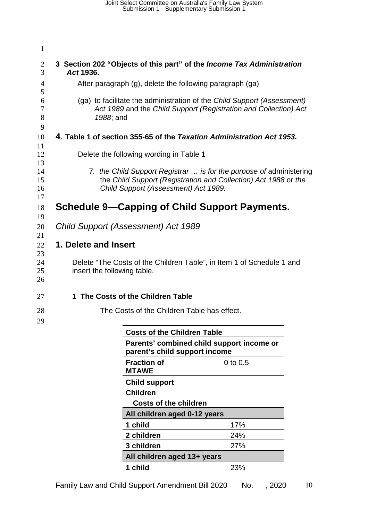| $\mathbf{1}$                                    |                                                          |                                                                                                                                                                                |  |  |  |  |
|-------------------------------------------------|----------------------------------------------------------|--------------------------------------------------------------------------------------------------------------------------------------------------------------------------------|--|--|--|--|
| $\overline{c}$<br>3                             | Act 1936.                                                | 3 Section 202 "Objects of this part" of the Income Tax Administration                                                                                                          |  |  |  |  |
| 4                                               | After paragraph (g), delete the following paragraph (ga) |                                                                                                                                                                                |  |  |  |  |
| 5<br>6<br>7<br>8<br>9                           | 1988; and                                                | (ga) to facilitate the administration of the Child Support (Assessment)<br>Act 1989 and the Child Support (Registration and Collection) Act                                    |  |  |  |  |
| 10                                              |                                                          | 4. Table 1 of section 355-65 of the Taxation Administration Act 1953.                                                                                                          |  |  |  |  |
| 11<br>12<br>13                                  |                                                          | Delete the following wording in Table 1                                                                                                                                        |  |  |  |  |
| 14<br>15<br>16                                  |                                                          | 7. the Child Support Registrar  is for the purpose of administering<br>the Child Support (Registration and Collection) Act 1988 or the<br>Child Support (Assessment) Act 1989. |  |  |  |  |
| 17<br>18                                        |                                                          | Schedule 9—Capping of Child Support Payments.                                                                                                                                  |  |  |  |  |
| 19<br>Child Support (Assessment) Act 1989<br>20 |                                                          |                                                                                                                                                                                |  |  |  |  |
| 21<br>22                                        | 1. Delete and Insert                                     |                                                                                                                                                                                |  |  |  |  |
| 23<br>24<br>25<br>26                            | insert the following table.                              | Delete "The Costs of the Children Table", in Item 1 of Schedule 1 and                                                                                                          |  |  |  |  |
| 27                                              |                                                          | 1 The Costs of the Children Table                                                                                                                                              |  |  |  |  |
| 28<br>29                                        |                                                          | The Costs of the Children Table has effect.                                                                                                                                    |  |  |  |  |
|                                                 |                                                          | <b>Costs of the Children Table</b>                                                                                                                                             |  |  |  |  |
|                                                 |                                                          | Parents' combined child support income or<br>parent's child support income                                                                                                     |  |  |  |  |
|                                                 |                                                          | <b>Fraction of</b><br>$0$ to $0.5$<br><b>MTAWE</b>                                                                                                                             |  |  |  |  |
|                                                 |                                                          | <b>Child support</b><br><b>Children</b>                                                                                                                                        |  |  |  |  |
|                                                 |                                                          | <b>Costs of the children</b>                                                                                                                                                   |  |  |  |  |
|                                                 |                                                          | All children aged 0-12 years                                                                                                                                                   |  |  |  |  |

**1 child** 23%

**All children aged 13+ years** 

**1 child** 17% **2 children** 24% **3 children** 27%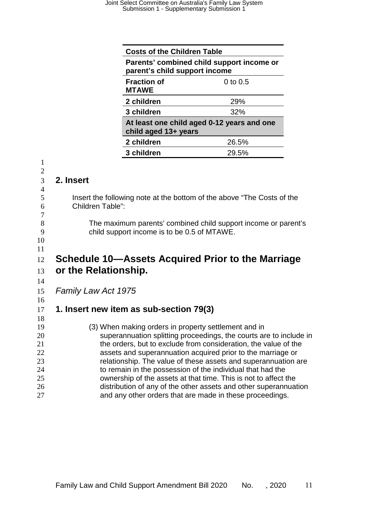| <b>Costs of the Children Table</b>                                         |              |  |
|----------------------------------------------------------------------------|--------------|--|
| Parents' combined child support income or<br>parent's child support income |              |  |
| <b>Fraction of</b><br><b>MTAWE</b>                                         | $0$ to $0.5$ |  |
| 2 children                                                                 | 29%          |  |
| 3 children                                                                 | 32%          |  |
| At least one child aged 0-12 years and one<br>child aged 13+ years         |              |  |
| 2 children                                                                 | 26.5%        |  |
| 3 children                                                                 | 29.5%        |  |

#### 

### **2. Insert**

Insert the following note at the bottom of the above "The Costs of the Children Table":

The maximum parents' combined child support income or parent's child support income is to be 0.5 of MTAWE.

 

## **Schedule 10—Assets Acquired Prior to the Marriage or the Relationship.**

Family Law Act 1975

## **1. Insert new item as sub-section 79(3)**

| 18 |                                                                    |
|----|--------------------------------------------------------------------|
| 19 | (3) When making orders in property settlement and in               |
| 20 | superannuation splitting proceedings, the courts are to include in |
| 21 | the orders, but to exclude from consideration, the value of the    |
| 22 | assets and superannuation acquired prior to the marriage or        |
| 23 | relationship. The value of these assets and superannuation are     |
| 24 | to remain in the possession of the individual that had the         |
| 25 | ownership of the assets at that time. This is not to affect the    |
| 26 | distribution of any of the other assets and other superannuation   |
| 27 | and any other orders that are made in these proceedings.           |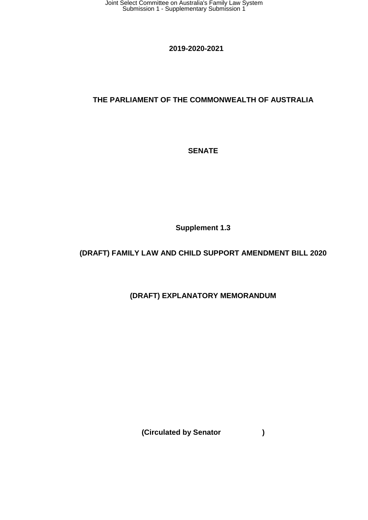#### **2019-2020-2021**

## **THE PARLIAMENT OF THE COMMONWEALTH OF AUSTRALIA**

**SENATE**

**Supplement 1.3** 

## **(DRAFT) FAMILY LAW AND CHILD SUPPORT AMENDMENT BILL 2020**

**(DRAFT) EXPLANATORY MEMORANDUM** 

**(Circulated by Senator )**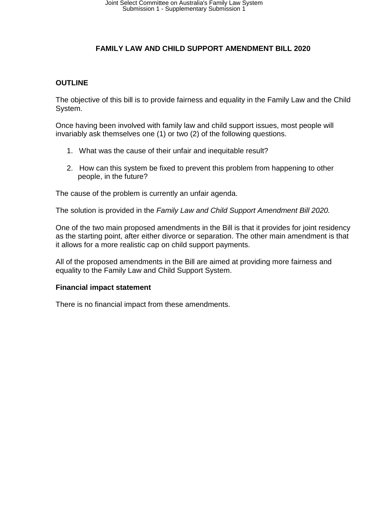## **FAMILY LAW AND CHILD SUPPORT AMENDMENT BILL 2020**

#### **OUTLINE**

The objective of this bill is to provide fairness and equality in the Family Law and the Child System.

Once having been involved with family law and child support issues, most people will invariably ask themselves one (1) or two (2) of the following questions.

- 1. What was the cause of their unfair and inequitable result?
- 2. How can this system be fixed to prevent this problem from happening to other people, in the future?

The cause of the problem is currently an unfair agenda.

The solution is provided in the Family Law and Child Support Amendment Bill 2020.

One of the two main proposed amendments in the Bill is that it provides for joint residency as the starting point, after either divorce or separation. The other main amendment is that it allows for a more realistic cap on child support payments.

All of the proposed amendments in the Bill are aimed at providing more fairness and equality to the Family Law and Child Support System.

#### **Financial impact statement**

There is no financial impact from these amendments.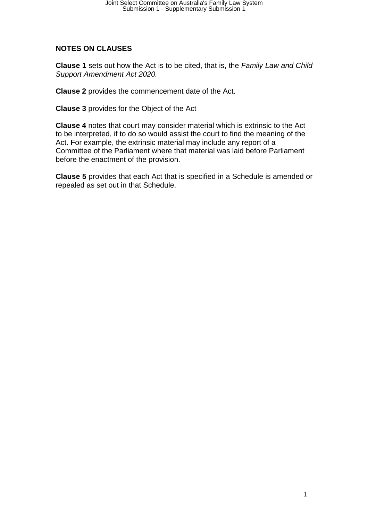## **NOTES ON CLAUSES**

**Clause 1** sets out how the Act is to be cited, that is, the Family Law and Child Support Amendment Act 2020.

**Clause 2** provides the commencement date of the Act.

**Clause 3** provides for the Object of the Act

**Clause 4** notes that court may consider material which is extrinsic to the Act to be interpreted, if to do so would assist the court to find the meaning of the Act. For example, the extrinsic material may include any report of a Committee of the Parliament where that material was laid before Parliament before the enactment of the provision.

**Clause 5** provides that each Act that is specified in a Schedule is amended or repealed as set out in that Schedule.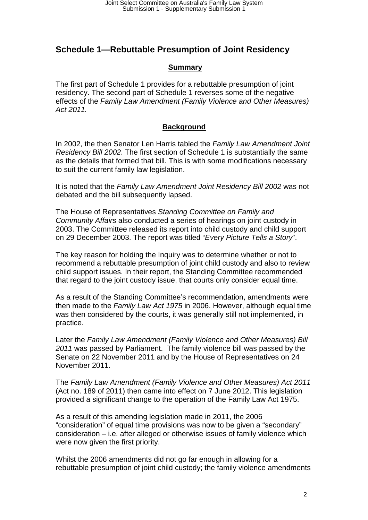## **Schedule 1—Rebuttable Presumption of Joint Residency**

#### **Summary**

The first part of Schedule 1 provides for a rebuttable presumption of joint residency. The second part of Schedule 1 reverses some of the negative effects of the Family Law Amendment (Family Violence and Other Measures) Act 2011.

#### **Background**

In 2002, the then Senator Len Harris tabled the Family Law Amendment Joint Residency Bill 2002. The first section of Schedule 1 is substantially the same as the details that formed that bill. This is with some modifications necessary to suit the current family law legislation.

It is noted that the Family Law Amendment Joint Residency Bill 2002 was not debated and the bill subsequently lapsed.

The House of Representatives Standing Committee on Family and Community Affairs also conducted a series of hearings on joint custody in 2003. The Committee released its report into child custody and child support on 29 December 2003. The report was titled "Every Picture Tells a Story".

The key reason for holding the Inquiry was to determine whether or not to recommend a rebuttable presumption of joint child custody and also to review child support issues. In their report, the Standing Committee recommended that regard to the joint custody issue, that courts only consider equal time.

As a result of the Standing Committee's recommendation, amendments were then made to the Family Law Act 1975 in 2006. However, although equal time was then considered by the courts, it was generally still not implemented, in practice.

Later the Family Law Amendment (Family Violence and Other Measures) Bill 2011 was passed by Parliament. The family violence bill was passed by the Senate on 22 November 2011 and by the House of Representatives on 24 November 2011.

The Family Law Amendment (Family Violence and Other Measures) Act 2011 (Act no. 189 of 2011) then came into effect on 7 June 2012. This legislation provided a significant change to the operation of the Family Law Act 1975.

As a result of this amending legislation made in 2011, the 2006 "consideration" of equal time provisions was now to be given a "secondary" consideration – i.e. after alleged or otherwise issues of family violence which were now given the first priority.

Whilst the 2006 amendments did not go far enough in allowing for a rebuttable presumption of joint child custody; the family violence amendments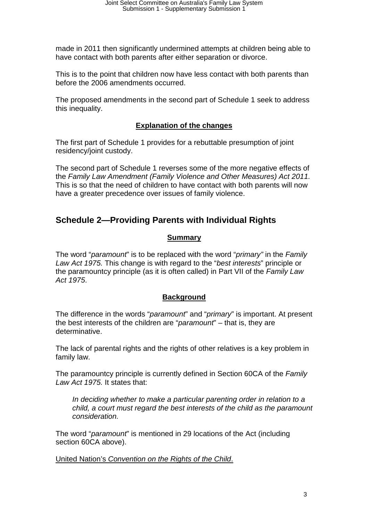made in 2011 then significantly undermined attempts at children being able to have contact with both parents after either separation or divorce.

This is to the point that children now have less contact with both parents than before the 2006 amendments occurred.

The proposed amendments in the second part of Schedule 1 seek to address this inequality.

#### **Explanation of the changes**

The first part of Schedule 1 provides for a rebuttable presumption of joint residency/joint custody.

The second part of Schedule 1 reverses some of the more negative effects of the Family Law Amendment (Family Violence and Other Measures) Act 2011. This is so that the need of children to have contact with both parents will now have a greater precedence over issues of family violence.

## **Schedule 2—Providing Parents with Individual Rights**

#### **Summary**

The word "paramount" is to be replaced with the word "primary" in the Family Law Act 1975. This change is with regard to the "best interests" principle or the paramountcy principle (as it is often called) in Part VII of the Family Law Act 1975.

#### **Background**

The difference in the words "*paramount*" and "*primary*" is important. At present the best interests of the children are "*paramount*" – that is, they are determinative.

The lack of parental rights and the rights of other relatives is a key problem in family law.

The paramountcy principle is currently defined in Section 60CA of the Family Law Act 1975. It states that:

In deciding whether to make a particular parenting order in relation to a child, a court must regard the best interests of the child as the paramount consideration.

The word "*paramount*" is mentioned in 29 locations of the Act (including section 60CA above).

United Nation's Convention on the Rights of the Child.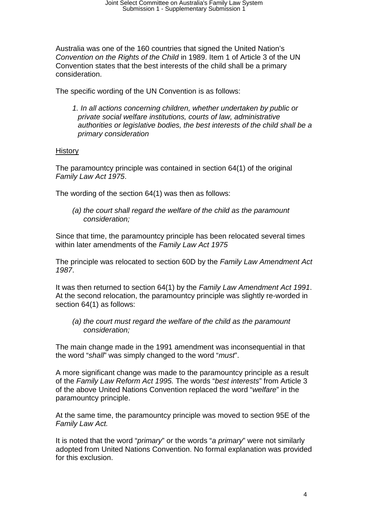Australia was one of the 160 countries that signed the United Nation's Convention on the Rights of the Child in 1989. Item 1 of Article 3 of the UN Convention states that the best interests of the child shall be a primary consideration.

The specific wording of the UN Convention is as follows:

1. In all actions concerning children, whether undertaken by public or private social welfare institutions, courts of law, administrative authorities or legislative bodies, the best interests of the child shall be a primary consideration

#### **History**

The paramountcy principle was contained in section 64(1) of the original Family Law Act 1975.

The wording of the section 64(1) was then as follows:

(a) the court shall regard the welfare of the child as the paramount consideration;

Since that time, the paramountcy principle has been relocated several times within later amendments of the Family Law Act 1975

The principle was relocated to section 60D by the Family Law Amendment Act 1987.

It was then returned to section 64(1) by the Family Law Amendment Act 1991. At the second relocation, the paramountcy principle was slightly re-worded in section 64(1) as follows:

(a) the court must regard the welfare of the child as the paramount consideration;

The main change made in the 1991 amendment was inconsequential in that the word "shall" was simply changed to the word "must".

A more significant change was made to the paramountcy principle as a result of the Family Law Reform Act 1995. The words "best interests" from Article 3 of the above United Nations Convention replaced the word "welfare" in the paramountcy principle.

At the same time, the paramountcy principle was moved to section 95E of the Family Law Act.

It is noted that the word "*primary*" or the words "a *primary*" were not similarly adopted from United Nations Convention. No formal explanation was provided for this exclusion.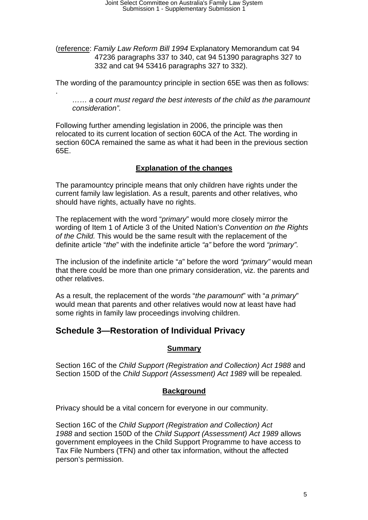(reference: Family Law Reform Bill 1994 Explanatory Memorandum cat 94 47236 paragraphs 337 to 340, cat 94 51390 paragraphs 327 to 332 and cat 94 53416 paragraphs 327 to 332).

The wording of the paramountcy principle in section 65E was then as follows:

.

…… a court must regard the best interests of the child as the paramount consideration".

Following further amending legislation in 2006, the principle was then relocated to its current location of section 60CA of the Act. The wording in section 60CA remained the same as what it had been in the previous section 65E.

#### **Explanation of the changes**

The paramountcy principle means that only children have rights under the current family law legislation. As a result, parents and other relatives, who should have rights, actually have no rights.

The replacement with the word "primary" would more closely mirror the wording of Item 1 of Article 3 of the United Nation's Convention on the Rights of the Child. This would be the same result with the replacement of the definite article "the" with the indefinite article "a" before the word "primary".

The inclusion of the indefinite article "a" before the word "primary" would mean that there could be more than one primary consideration, viz. the parents and other relatives.

As a result, the replacement of the words "the paramount" with "a primary" would mean that parents and other relatives would now at least have had some rights in family law proceedings involving children.

## **Schedule 3—Restoration of Individual Privacy**

#### **Summary**

Section 16C of the Child Support (Registration and Collection) Act 1988 and Section 150D of the Child Support (Assessment) Act 1989 will be repealed.

#### **Background**

Privacy should be a vital concern for everyone in our community.

Section 16C of the Child Support (Registration and Collection) Act 1988 and section 150D of the Child Support (Assessment) Act 1989 allows government employees in the Child Support Programme to have access to Tax File Numbers (TFN) and other tax information, without the affected person's permission.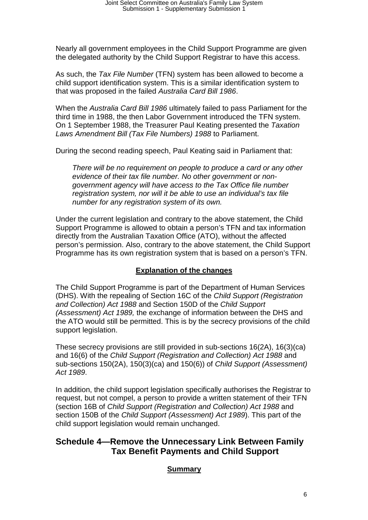Nearly all government employees in the Child Support Programme are given the delegated authority by the Child Support Registrar to have this access.

As such, the Tax File Number (TFN) system has been allowed to become a child support identification system. This is a similar identification system to that was proposed in the failed Australia Card Bill 1986.

When the Australia Card Bill 1986 ultimately failed to pass Parliament for the third time in 1988, the then Labor Government introduced the TFN system. On 1 September 1988, the Treasurer Paul Keating presented the Taxation Laws Amendment Bill (Tax File Numbers) 1988 to Parliament.

During the second reading speech, Paul Keating said in Parliament that:

There will be no requirement on people to produce a card or any other evidence of their tax file number. No other government or nongovernment agency will have access to the Tax Office file number registration system, nor will it be able to use an individual's tax file number for any registration system of its own.

Under the current legislation and contrary to the above statement, the Child Support Programme is allowed to obtain a person's TFN and tax information directly from the Australian Taxation Office (ATO), without the affected person's permission. Also, contrary to the above statement, the Child Support Programme has its own registration system that is based on a person's TFN.

## **Explanation of the changes**

The Child Support Programme is part of the Department of Human Services (DHS). With the repealing of Section 16C of the Child Support (Registration and Collection) Act 1988 and Section 150D of the Child Support (Assessment) Act 1989, the exchange of information between the DHS and the ATO would still be permitted. This is by the secrecy provisions of the child support legislation.

These secrecy provisions are still provided in sub-sections 16(2A), 16(3)(ca) and 16(6) of the Child Support (Registration and Collection) Act 1988 and sub-sections 150(2A), 150(3)(ca) and 150(6)) of Child Support (Assessment) Act 1989.

In addition, the child support legislation specifically authorises the Registrar to request, but not compel, a person to provide a written statement of their TFN (section 16B of Child Support (Registration and Collection) Act 1988 and section 150B of the Child Support (Assessment) Act 1989). This part of the child support legislation would remain unchanged.

## **Schedule 4—Remove the Unnecessary Link Between Family Tax Benefit Payments and Child Support**

## **Summary**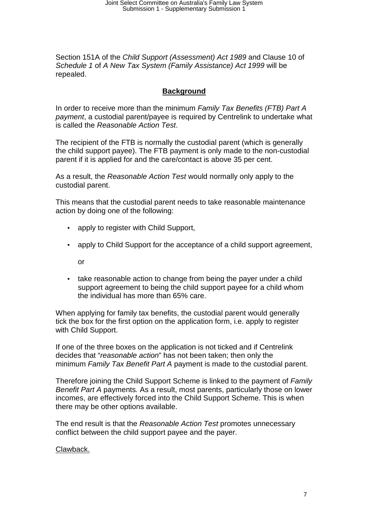Section 151A of the Child Support (Assessment) Act 1989 and Clause 10 of Schedule 1 of A New Tax System (Family Assistance) Act 1999 will be repealed.

#### **Background**

In order to receive more than the minimum Family Tax Benefits (FTB) Part A payment, a custodial parent/payee is required by Centrelink to undertake what is called the Reasonable Action Test.

The recipient of the FTB is normally the custodial parent (which is generally the child support payee). The FTB payment is only made to the non-custodial parent if it is applied for and the care/contact is above 35 per cent.

As a result, the Reasonable Action Test would normally only apply to the custodial parent.

This means that the custodial parent needs to take reasonable maintenance action by doing one of the following:

- apply to register with Child Support,
- apply to Child Support for the acceptance of a child support agreement,

or

take reasonable action to change from being the payer under a child support agreement to being the child support payee for a child whom the individual has more than 65% care.

When applying for family tax benefits, the custodial parent would generally tick the box for the first option on the application form, i.e. apply to register with Child Support.

If one of the three boxes on the application is not ticked and if Centrelink decides that "reasonable action" has not been taken; then only the minimum Family Tax Benefit Part A payment is made to the custodial parent.

Therefore joining the Child Support Scheme is linked to the payment of Family Benefit Part A payments. As a result, most parents, particularly those on lower incomes, are effectively forced into the Child Support Scheme. This is when there may be other options available.

The end result is that the Reasonable Action Test promotes unnecessary conflict between the child support payee and the payer.

#### Clawback.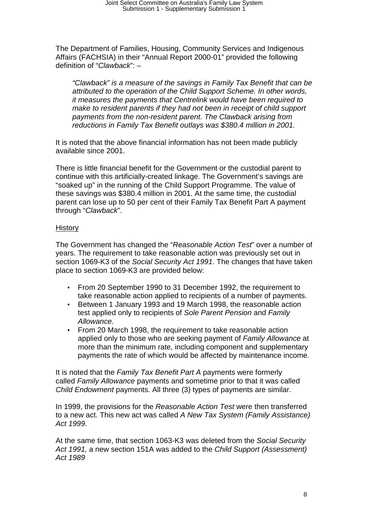The Department of Families, Housing, Community Services and Indigenous Affairs (FACHSIA) in their "Annual Report 2000-01" provided the following definition of "Clawback": –

"Clawback" is a measure of the savings in Family Tax Benefit that can be attributed to the operation of the Child Support Scheme. In other words, it measures the payments that Centrelink would have been required to make to resident parents if they had not been in receipt of child support payments from the non-resident parent. The Clawback arising from reductions in Family Tax Benefit outlays was \$380.4 million in 2001.

It is noted that the above financial information has not been made publicly available since 2001.

There is little financial benefit for the Government or the custodial parent to continue with this artificially-created linkage. The Government's savings are "soaked up" in the running of the Child Support Programme. The value of these savings was \$380.4 million in 2001. At the same time, the custodial parent can lose up to 50 per cent of their Family Tax Benefit Part A payment through "Clawback".

#### **History**

The Government has changed the "Reasonable Action Test" over a number of years. The requirement to take reasonable action was previously set out in section 1069-K3 of the Social Security Act 1991. The changes that have taken place to section 1069-K3 are provided below:

- From 20 September 1990 to 31 December 1992, the requirement to take reasonable action applied to recipients of a number of payments.
- Between 1 January 1993 and 19 March 1998, the reasonable action test applied only to recipients of Sole Parent Pension and Family Allowance.
- From 20 March 1998, the requirement to take reasonable action applied only to those who are seeking payment of Family Allowance at more than the minimum rate, including component and supplementary payments the rate of which would be affected by maintenance income.

It is noted that the Family Tax Benefit Part A payments were formerly called Family Allowance payments and sometime prior to that it was called Child Endowment payments. All three (3) types of payments are similar.

In 1999, the provisions for the Reasonable Action Test were then transferred to a new act. This new act was called A New Tax System (Family Assistance) Act 1999.

At the same time, that section 1063-K3 was deleted from the Social Security Act 1991, a new section 151A was added to the Child Support (Assessment) Act 1989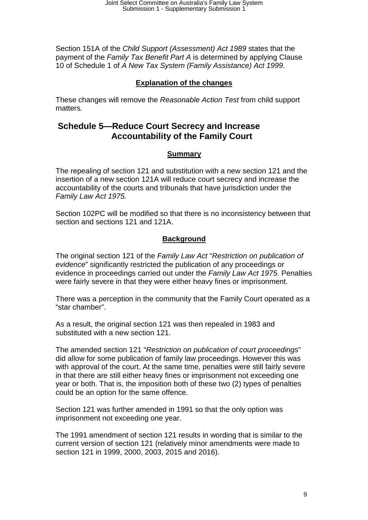Section 151A of the Child Support (Assessment) Act 1989 states that the payment of the Family Tax Benefit Part A is determined by applying Clause 10 of Schedule 1 of A New Tax System (Family Assistance) Act 1999.

#### **Explanation of the changes**

These changes will remove the Reasonable Action Test from child support matters.

## **Schedule 5—Reduce Court Secrecy and Increase Accountability of the Family Court**

#### **Summary**

The repealing of section 121 and substitution with a new section 121 and the insertion of a new section 121A will reduce court secrecy and increase the accountability of the courts and tribunals that have jurisdiction under the Family Law Act 1975.

Section 102PC will be modified so that there is no inconsistency between that section and sections 121 and 121A.

#### **Background**

The original section 121 of the Family Law Act "Restriction on publication of evidence" significantly restricted the publication of any proceedings or evidence in proceedings carried out under the Family Law Act 1975. Penalties were fairly severe in that they were either heavy fines or imprisonment.

There was a perception in the community that the Family Court operated as a "star chamber".

As a result, the original section 121 was then repealed in 1983 and substituted with a new section 121.

The amended section 121 "Restriction on publication of court proceedings" did allow for some publication of family law proceedings. However this was with approval of the court. At the same time, penalties were still fairly severe in that there are still either heavy fines or imprisonment not exceeding one year or both. That is, the imposition both of these two (2) types of penalties could be an option for the same offence.

Section 121 was further amended in 1991 so that the only option was imprisonment not exceeding one year.

The 1991 amendment of section 121 results in wording that is similar to the current version of section 121 (relatively minor amendments were made to section 121 in 1999, 2000, 2003, 2015 and 2016).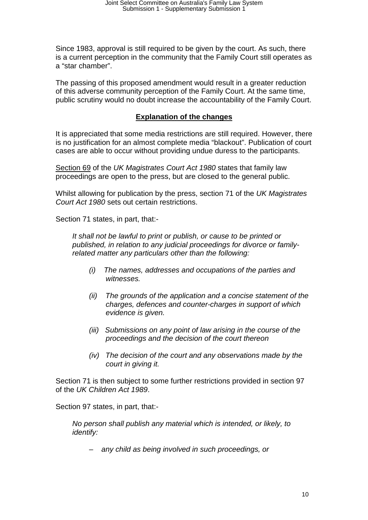Since 1983, approval is still required to be given by the court. As such, there is a current perception in the community that the Family Court still operates as a "star chamber".

The passing of this proposed amendment would result in a greater reduction of this adverse community perception of the Family Court. At the same time, public scrutiny would no doubt increase the accountability of the Family Court.

#### **Explanation of the changes**

It is appreciated that some media restrictions are still required. However, there is no justification for an almost complete media "blackout". Publication of court cases are able to occur without providing undue duress to the participants.

Section 69 of the UK Magistrates Court Act 1980 states that family law proceedings are open to the press, but are closed to the general public.

Whilst allowing for publication by the press, section 71 of the UK Magistrates Court Act 1980 sets out certain restrictions.

Section 71 states, in part, that:-

It shall not be lawful to print or publish, or cause to be printed or published, in relation to any judicial proceedings for divorce or familyrelated matter any particulars other than the following:

- (i) The names, addresses and occupations of the parties and witnesses.
- (ii) The grounds of the application and a concise statement of the charges, defences and counter-charges in support of which evidence is given.
- (iii) Submissions on any point of law arising in the course of the proceedings and the decision of the court thereon
- (iv) The decision of the court and any observations made by the court in giving it.

Section 71 is then subject to some further restrictions provided in section 97 of the UK Children Act 1989.

Section 97 states, in part, that:-

No person shall publish any material which is intended, or likely, to identify:

– any child as being involved in such proceedings, or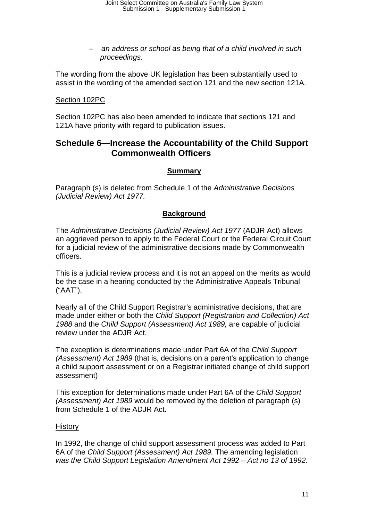– an address or school as being that of a child involved in such proceedings.

The wording from the above UK legislation has been substantially used to assist in the wording of the amended section 121 and the new section 121A.

#### Section 102PC

Section 102PC has also been amended to indicate that sections 121 and 121A have priority with regard to publication issues.

## **Schedule 6—Increase the Accountability of the Child Support Commonwealth Officers**

#### **Summary**

Paragraph (s) is deleted from Schedule 1 of the Administrative Decisions (Judicial Review) Act 1977.

#### **Background**

The Administrative Decisions (Judicial Review) Act 1977 (ADJR Act) allows an aggrieved person to apply to the Federal Court or the Federal Circuit Court for a judicial review of the administrative decisions made by Commonwealth officers.

This is a judicial review process and it is not an appeal on the merits as would be the case in a hearing conducted by the Administrative Appeals Tribunal ("AAT").

Nearly all of the Child Support Registrar's administrative decisions, that are made under either or both the Child Support (Registration and Collection) Act 1988 and the Child Support (Assessment) Act 1989, are capable of judicial review under the ADJR Act.

The exception is determinations made under Part 6A of the Child Support (Assessment) Act 1989 (that is, decisions on a parent's application to change a child support assessment or on a Registrar initiated change of child support assessment)

This exception for determinations made under Part 6A of the Child Support (Assessment) Act 1989 would be removed by the deletion of paragraph (s) from Schedule 1 of the ADJR Act.

#### History

In 1992, the change of child support assessment process was added to Part 6A of the Child Support (Assessment) Act 1989. The amending legislation was the Child Support Legislation Amendment Act 1992 – Act no 13 of 1992.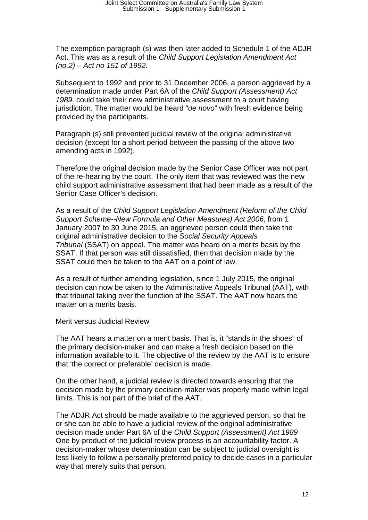The exemption paragraph (s) was then later added to Schedule 1 of the ADJR Act. This was as a result of the Child Support Legislation Amendment Act (no.2) – Act no 151 of 1992.

Subsequent to 1992 and prior to 31 December 2006, a person aggrieved by a determination made under Part 6A of the Child Support (Assessment) Act 1989, could take their new administrative assessment to a court having jurisdiction. The matter would be heard "de novo" with fresh evidence being provided by the participants.

Paragraph (s) still prevented judicial review of the original administrative decision (except for a short period between the passing of the above two amending acts in 1992).

Therefore the original decision made by the Senior Case Officer was not part of the re-hearing by the court. The only item that was reviewed was the new child support administrative assessment that had been made as a result of the Senior Case Officer's decision.

As a result of the Child Support Legislation Amendment (Reform of the Child Support Scheme--New Formula and Other Measures) Act 2006, from 1 January 2007 to 30 June 2015, an aggrieved person could then take the original administrative decision to the Social Security Appeals Tribunal (SSAT) on appeal. The matter was heard on a merits basis by the SSAT. If that person was still dissatisfied, then that decision made by the SSAT could then be taken to the AAT on a point of law.

As a result of further amending legislation, since 1 July 2015, the original decision can now be taken to the Administrative Appeals Tribunal (AAT), with that tribunal taking over the function of the SSAT. The AAT now hears the matter on a merits basis.

#### Merit versus Judicial Review

The AAT hears a matter on a merit basis. That is, it "stands in the shoes" of the primary decision-maker and can make a fresh decision based on the information available to it. The objective of the review by the AAT is to ensure that 'the correct or preferable' decision is made.

On the other hand, a judicial review is directed towards ensuring that the decision made by the primary decision-maker was properly made within legal limits. This is not part of the brief of the AAT.

The ADJR Act should be made available to the aggrieved person, so that he or she can be able to have a judicial review of the original administrative decision made under Part 6A of the Child Support (Assessment) Act 1989 One by-product of the judicial review process is an accountability factor. A decision-maker whose determination can be subject to judicial oversight is less likely to follow a personally preferred policy to decide cases in a particular way that merely suits that person.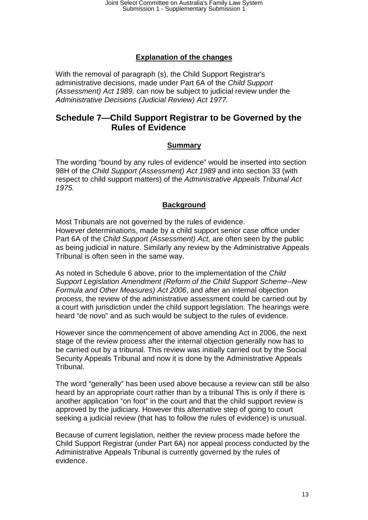## **Explanation of the changes**

With the removal of paragraph (s), the Child Support Registrar's administrative decisions, made under Part 6A of the Child Support (Assessment) Act 1989, can now be subject to judicial review under the Administrative Decisions (Judicial Review) Act 1977.

## **Schedule 7—Child Support Registrar to be Governed by the Rules of Evidence**

#### **Summary**

The wording "bound by any rules of evidence" would be inserted into section 98H of the Child Support (Assessment) Act 1989 and into section 33 (with respect to child support matters) of the Administrative Appeals Tribunal Act 1975.

#### **Background**

Most Tribunals are not governed by the rules of evidence. However determinations, made by a child support senior case office under Part 6A of the Child Support (Assessment) Act, are often seen by the public as being judicial in nature. Similarly any review by the Administrative Appeals Tribunal is often seen in the same way.

As noted in Schedule 6 above, prior to the implementation of the Child Support Legislation Amendment (Reform of the Child Support Scheme--New Formula and Other Measures) Act 2006, and after an internal objection process, the review of the administrative assessment could be carried out by a court with jurisdiction under the child support legislation. The hearings were heard "de novo" and as such would be subject to the rules of evidence.

However since the commencement of above amending Act in 2006, the next stage of the review process after the internal objection generally now has to be carried out by a tribunal. This review was initially carried out by the Social Security Appeals Tribunal and now it is done by the Administrative Appeals Tribunal.

The word "generally" has been used above because a review can still be also heard by an appropriate court rather than by a tribunal This is only if there is another application "on foot" in the court and that the child support review is approved by the judiciary. However this alternative step of going to court seeking a judicial review (that has to follow the rules of evidence) is unusual.

Because of current legislation, neither the review process made before the Child Support Registrar (under Part 6A) nor appeal process conducted by the Administrative Appeals Tribunal is currently governed by the rules of evidence.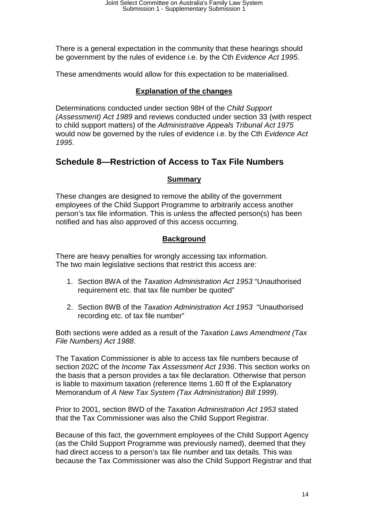There is a general expectation in the community that these hearings should be government by the rules of evidence i.e. by the Cth Evidence Act 1995.

These amendments would allow for this expectation to be materialised.

#### **Explanation of the changes**

Determinations conducted under section 98H of the Child Support (Assessment) Act 1989 and reviews conducted under section 33 (with respect to child support matters) of the Administrative Appeals Tribunal Act 1975 would now be governed by the rules of evidence i.e. by the Cth Evidence Act 1995.

## **Schedule 8—Restriction of Access to Tax File Numbers**

#### **Summary**

These changes are designed to remove the ability of the government employees of the Child Support Programme to arbitrarily access another person's tax file information. This is unless the affected person(s) has been notified and has also approved of this access occurring.

#### **Background**

There are heavy penalties for wrongly accessing tax information. The two main legislative sections that restrict this access are:

- 1. Section 8WA of the Taxation Administration Act 1953 "Unauthorised requirement etc. that tax file number be quoted"
- 2. Section 8WB of the Taxation Administration Act 1953 "Unauthorised recording etc. of tax file number"

Both sections were added as a result of the Taxation Laws Amendment (Tax File Numbers) Act 1988.

The Taxation Commissioner is able to access tax file numbers because of section 202C of the Income Tax Assessment Act 1936. This section works on the basis that a person provides a tax file declaration. Otherwise that person is liable to maximum taxation (reference Items 1.60 ff of the Explanatory Memorandum of A New Tax System (Tax Administration) Bill 1999).

Prior to 2001, section 8WD of the Taxation Administration Act 1953 stated that the Tax Commissioner was also the Child Support Registrar.

Because of this fact, the government employees of the Child Support Agency (as the Child Support Programme was previously named), deemed that they had direct access to a person's tax file number and tax details. This was because the Tax Commissioner was also the Child Support Registrar and that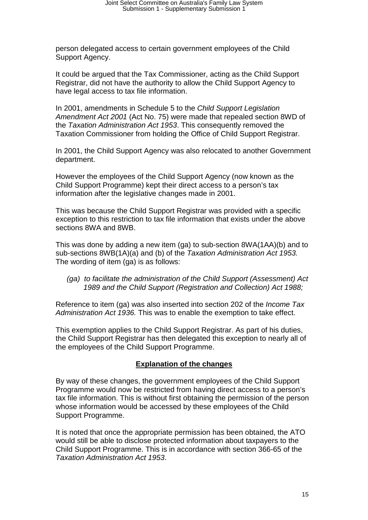person delegated access to certain government employees of the Child Support Agency.

It could be argued that the Tax Commissioner, acting as the Child Support Registrar, did not have the authority to allow the Child Support Agency to have legal access to tax file information.

In 2001, amendments in Schedule 5 to the Child Support Legislation Amendment Act 2001 (Act No. 75) were made that repealed section 8WD of the Taxation Administration Act 1953. This consequently removed the Taxation Commissioner from holding the Office of Child Support Registrar.

In 2001, the Child Support Agency was also relocated to another Government department.

However the employees of the Child Support Agency (now known as the Child Support Programme) kept their direct access to a person's tax information after the legislative changes made in 2001.

This was because the Child Support Registrar was provided with a specific exception to this restriction to tax file information that exists under the above sections 8WA and 8WB.

This was done by adding a new item (ga) to sub-section 8WA(1AA)(b) and to sub-sections 8WB(1A)(a) and (b) of the Taxation Administration Act 1953. The wording of item (ga) is as follows:

(ga) to facilitate the administration of the Child Support (Assessment) Act 1989 and the Child Support (Registration and Collection) Act 1988;

Reference to item (ga) was also inserted into section 202 of the Income Tax Administration Act 1936. This was to enable the exemption to take effect.

This exemption applies to the Child Support Registrar. As part of his duties, the Child Support Registrar has then delegated this exception to nearly all of the employees of the Child Support Programme.

#### **Explanation of the changes**

By way of these changes, the government employees of the Child Support Programme would now be restricted from having direct access to a person's tax file information. This is without first obtaining the permission of the person whose information would be accessed by these employees of the Child Support Programme.

It is noted that once the appropriate permission has been obtained, the ATO would still be able to disclose protected information about taxpayers to the Child Support Programme. This is in accordance with section 366-65 of the Taxation Administration Act 1953.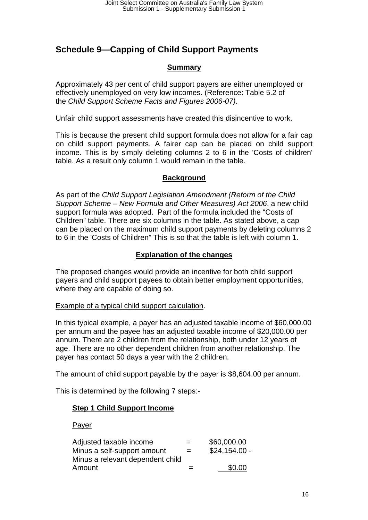## **Schedule 9—Capping of Child Support Payments**

#### **Summary**

Approximately 43 per cent of child support payers are either unemployed or effectively unemployed on very low incomes. (Reference: Table 5.2 of the Child Support Scheme Facts and Figures 2006-07).

Unfair child support assessments have created this disincentive to work.

This is because the present child support formula does not allow for a fair cap on child support payments. A fairer cap can be placed on child support income. This is by simply deleting columns 2 to 6 in the 'Costs of children' table. As a result only column 1 would remain in the table.

### **Background**

As part of the Child Support Legislation Amendment (Reform of the Child Support Scheme – New Formula and Other Measures) Act 2006, a new child support formula was adopted. Part of the formula included the "Costs of Children" table. There are six columns in the table. As stated above, a cap can be placed on the maximum child support payments by deleting columns 2 to 6 in the 'Costs of Children" This is so that the table is left with column 1.

#### **Explanation of the changes**

The proposed changes would provide an incentive for both child support payers and child support payees to obtain better employment opportunities, where they are capable of doing so.

#### Example of a typical child support calculation.

In this typical example, a payer has an adjusted taxable income of \$60,000.00 per annum and the payee has an adjusted taxable income of \$20,000.00 per annum. There are 2 children from the relationship, both under 12 years of age. There are no other dependent children from another relationship. The payer has contact 50 days a year with the 2 children.

The amount of child support payable by the payer is \$8,604.00 per annum.

This is determined by the following 7 steps:-

#### **Step 1 Child Support Income**

Payer

| Adjusted taxable income          | $=$ | \$60,000.00    |
|----------------------------------|-----|----------------|
| Minus a self-support amount      | $=$ | $$24,154.00 -$ |
| Minus a relevant dependent child |     |                |
| Amount                           |     | \$0.00         |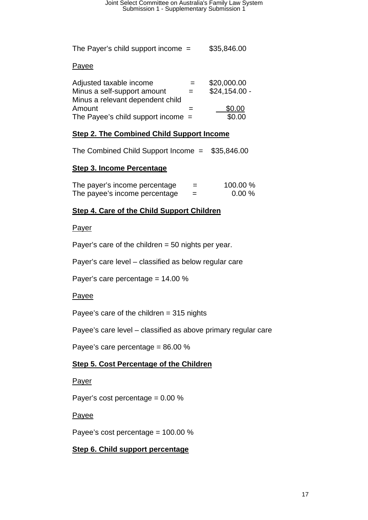The Payer's child support income  $=$  \$35,846.00

#### **Payee**

| Adjusted taxable income              | $=$ | \$20,000.00    |
|--------------------------------------|-----|----------------|
| Minus a self-support amount          | $=$ | $$24,154.00 -$ |
| Minus a relevant dependent child     |     |                |
| Amount                               | $=$ | \$0.00         |
| The Payee's child support income $=$ |     | \$0.00         |

#### **Step 2. The Combined Child Support Income**

The Combined Child Support Income = \$35,846.00

#### **Step 3. Income Percentage**

| The payer's income percentage | $=$ | 100.00 % |
|-------------------------------|-----|----------|
| The payee's income percentage | $=$ | $0.00\%$ |

#### **Step 4. Care of the Child Support Children**

#### Payer

Payer's care of the children = 50 nights per year.

Payer's care level – classified as below regular care

Payer's care percentage = 14.00 %

#### Payee

Payee's care of the children = 315 nights

Payee's care level – classified as above primary regular care

Payee's care percentage = 86.00 %

#### **Step 5. Cost Percentage of the Children**

#### **Payer**

Payer's cost percentage = 0.00 %

#### Payee

Payee's cost percentage = 100.00 %

#### **Step 6. Child support percentage**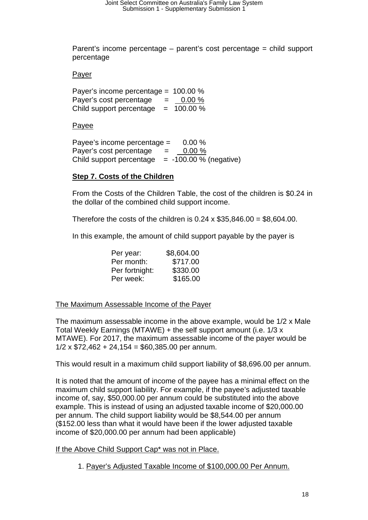Parent's income percentage – parent's cost percentage = child support percentage

#### Payer

| Payer's income percentage $=$   | 100.00 % |
|---------------------------------|----------|
| Payer's cost percentage<br>$=$  | $0.00\%$ |
| Child support percentage<br>$=$ | 100.00 % |

#### Payee

Payee's income percentage  $=$  0.00 % Payer's cost percentage  $= 0.00 \%$ Child support percentage  $= -100.00\%$  (negative)

#### **Step 7. Costs of the Children**

From the Costs of the Children Table, the cost of the children is \$0.24 in the dollar of the combined child support income.

Therefore the costs of the children is  $0.24 \times $35,846.00 = $8,604.00$ .

In this example, the amount of child support payable by the payer is

| Per year:      | \$8,604.00 |
|----------------|------------|
| Per month:     | \$717.00   |
| Per fortnight: | \$330.00   |
| Per week:      | \$165.00   |

The Maximum Assessable Income of the Payer

The maximum assessable income in the above example, would be 1/2 x Male Total Weekly Earnings (MTAWE) + the self support amount (i.e. 1/3 x MTAWE). For 2017, the maximum assessable income of the payer would be  $1/2 \times $72,462 + 24,154 = $60,385.00$  per annum.

This would result in a maximum child support liability of \$8,696.00 per annum.

It is noted that the amount of income of the payee has a minimal effect on the maximum child support liability. For example, if the payee's adjusted taxable income of, say, \$50,000.00 per annum could be substituted into the above example. This is instead of using an adjusted taxable income of \$20,000.00 per annum. The child support liability would be \$8,544.00 per annum (\$152.00 less than what it would have been if the lower adjusted taxable income of \$20,000.00 per annum had been applicable)

#### If the Above Child Support Cap\* was not in Place.

1. Payer's Adjusted Taxable Income of \$100,000.00 Per Annum.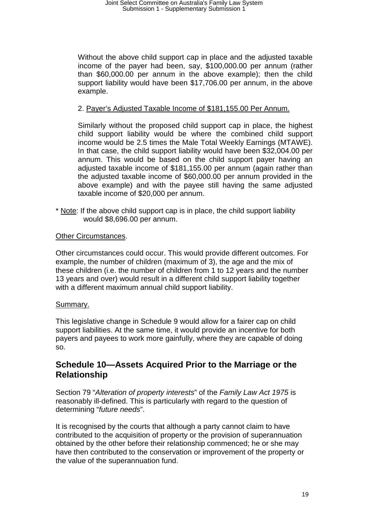Without the above child support cap in place and the adjusted taxable income of the payer had been, say, \$100,000.00 per annum (rather than \$60,000.00 per annum in the above example); then the child support liability would have been \$17,706.00 per annum, in the above example.

#### 2. Payer's Adjusted Taxable Income of \$181,155.00 Per Annum.

Similarly without the proposed child support cap in place, the highest child support liability would be where the combined child support income would be 2.5 times the Male Total Weekly Earnings (MTAWE). In that case, the child support liability would have been \$32,004.00 per annum. This would be based on the child support payer having an adjusted taxable income of \$181,155.00 per annum (again rather than the adjusted taxable income of \$60,000.00 per annum provided in the above example) and with the payee still having the same adjusted taxable income of \$20,000 per annum.

\* Note: If the above child support cap is in place, the child support liability would \$8,696.00 per annum.

#### Other Circumstances.

Other circumstances could occur. This would provide different outcomes. For example, the number of children (maximum of 3), the age and the mix of these children (i.e. the number of children from 1 to 12 years and the number 13 years and over) would result in a different child support liability together with a different maximum annual child support liability.

#### Summary.

This legislative change in Schedule 9 would allow for a fairer cap on child support liabilities. At the same time, it would provide an incentive for both payers and payees to work more gainfully, where they are capable of doing so.

## **Schedule 10—Assets Acquired Prior to the Marriage or the Relationship**

Section 79 "Alteration of property interests" of the Family Law Act 1975 is reasonably ill-defined. This is particularly with regard to the question of determining "future needs".

It is recognised by the courts that although a party cannot claim to have contributed to the acquisition of property or the provision of superannuation obtained by the other before their relationship commenced; he or she may have then contributed to the conservation or improvement of the property or the value of the superannuation fund.